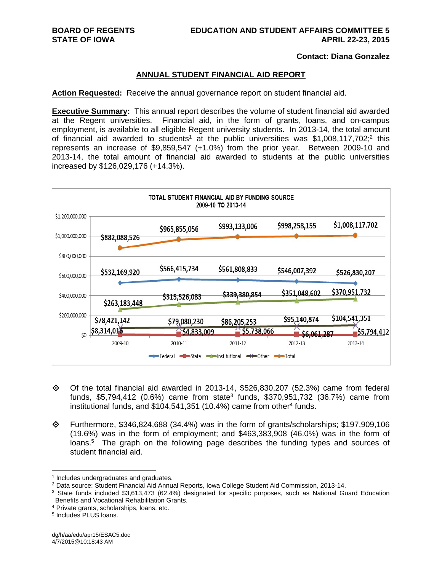### **Contact: Diana Gonzalez**

# **ANNUAL STUDENT FINANCIAL AID REPORT**

**Action Requested:** Receive the annual governance report on student financial aid.

**Executive Summary:** This annual report describes the volume of student financial aid awarded at the Regent universities. Financial aid, in the form of grants, loans, and on-campus employment, is available to all eligible Regent university students. In 2013-14, the total amount of financial aid awarded to students<sup>1</sup> at the public universities was \$1,008,117,702;<sup>2</sup> this represents an increase of \$9,859,547 (+1.0%) from the prior year. Between 2009-10 and 2013-14, the total amount of financial aid awarded to students at the public universities increased by \$126,029,176 (+14.3%).



- $\diamond$  Of the total financial aid awarded in 2013-14, \$526,830,207 (52.3%) came from federal funds, \$5,794,412 (0.6%) came from state3 funds, \$370,951,732 (36.7%) came from institutional funds, and  $$104,541,351$  (10.4%) came from other<sup>4</sup> funds.
- Furthermore, \$346,824,688 (34.4%) was in the form of grants/scholarships; \$197,909,106 (19.6%) was in the form of employment; and \$463,383,908 (46.0%) was in the form of loans.5 The graph on the following page describes the funding types and sources of student financial aid.

 $1$  Includes undergraduates and graduates.<br>  $2$  Data source: Student Financial Aid Annual Reports, Iowa College Student Aid Commission, 2013-14.

<sup>&</sup>lt;sup>3</sup> State funds included \$3.613.473 (62.4%) designated for specific purposes, such as National Guard Education Benefits and Vocational Rehabilitation Grants.

<sup>4</sup> Private grants, scholarships, loans, etc.

<sup>5</sup> Includes PLUS loans.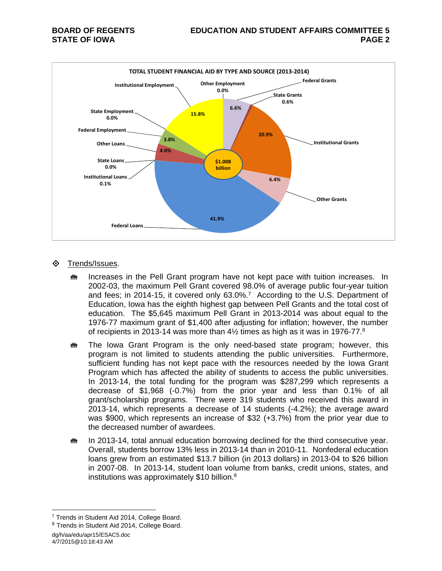

# Trends/Issues.

- **IN Increases in the Pell Grant program have not kept pace with tuition increases.** In 2002-03, the maximum Pell Grant covered 98.0% of average public four-year tuition and fees; in 2014-15, it covered only 63.0%.7 According to the U.S. Department of Education, Iowa has the eighth highest gap between Pell Grants and the total cost of education. The \$5,645 maximum Pell Grant in 2013-2014 was about equal to the 1976-77 maximum grant of \$1,400 after adjusting for inflation; however, the number of recipients in 2013-14 was more than  $4\frac{1}{2}$  times as high as it was in 1976-77. $8$
- **##** The Iowa Grant Program is the only need-based state program; however, this program is not limited to students attending the public universities. Furthermore, sufficient funding has not kept pace with the resources needed by the Iowa Grant Program which has affected the ability of students to access the public universities. In 2013-14, the total funding for the program was \$287,299 which represents a decrease of \$1,968 (-0.7%) from the prior year and less than 0.1% of all grant/scholarship programs. There were 319 students who received this award in 2013-14, which represents a decrease of 14 students (-4.2%); the average award was \$900, which represents an increase of \$32 (+3.7%) from the prior year due to the decreased number of awardees.
- **##** In 2013-14, total annual education borrowing declined for the third consecutive year. Overall, students borrow 13% less in 2013-14 than in 2010-11. Nonfederal education loans grew from an estimated \$13.7 billion (in 2013 dollars) in 2013-04 to \$26 billion in 2007-08. In 2013-14, student loan volume from banks, credit unions, states, and institutions was approximately \$10 billion.<sup>8</sup>

dg/h/aa/edu/apr15/ESAC5.doc 4/7/2015@10:18:43 AM

<sup>&</sup>lt;sup>7</sup> Trends in Student Aid 2014, College Board.

<sup>8</sup> Trends in Student Aid 2014, College Board.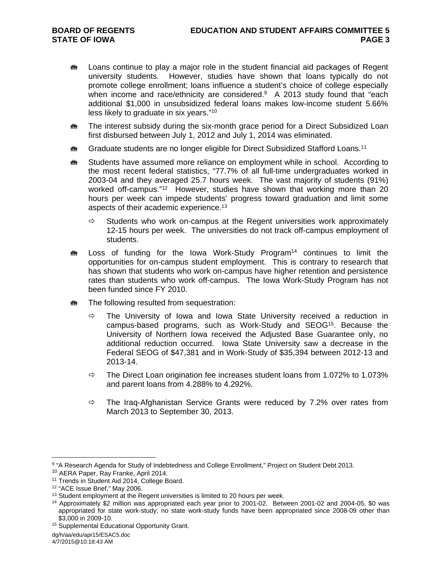- **##** Loans continue to play a major role in the student financial aid packages of Regent university students. However, studies have shown that loans typically do not promote college enrollment; loans influence a student's choice of college especially when income and race/ethnicity are considered.<sup>9</sup> A 2013 study found that "each additional \$1,000 in unsubsidized federal loans makes low-income student 5.66% less likely to graduate in six years."10
- **##** The interest subsidy during the six-month grace period for a Direct Subsidized Loan first disbursed between July 1, 2012 and July 1, 2014 was eliminated.
- **##** Graduate students are no longer eligible for Direct Subsidized Stafford Loans.<sup>11</sup>
- **##** Students have assumed more reliance on employment while in school. According to the most recent federal statistics, "77.7% of all full-time undergraduates worked in 2003-04 and they averaged 25.7 hours week. The vast majority of students (91%) worked off-campus."<sup>12</sup> However, studies have shown that working more than 20 hours per week can impede students' progress toward graduation and limit some aspects of their academic experience.13
	- $\Rightarrow$  Students who work on-campus at the Regent universities work approximately 12-15 hours per week. The universities do not track off-campus employment of students.
- **##** Loss of funding for the Iowa Work-Study Program<sup>14</sup> continues to limit the opportunities for on-campus student employment. This is contrary to research that has shown that students who work on-campus have higher retention and persistence rates than students who work off-campus. The Iowa Work-Study Program has not been funded since FY 2010.
- **##** The following resulted from sequestration:
	- $\Rightarrow$  The University of Iowa and Iowa State University received a reduction in campus-based programs, such as Work-Study and SEOG15. Because the University of Northern Iowa received the Adjusted Base Guarantee only, no additional reduction occurred. Iowa State University saw a decrease in the Federal SEOG of \$47,381 and in Work-Study of \$35,394 between 2012-13 and 2013-14.
	- $\Rightarrow$  The Direct Loan origination fee increases student loans from 1.072% to 1.073% and parent loans from 4.288% to 4.292%.
	- $\Rightarrow$  The Iraq-Afghanistan Service Grants were reduced by 7.2% over rates from March 2013 to September 30, 2013.

<sup>9 &</sup>quot;A Research Agenda for Study of Indebtedness and College Enrollment," Project on Student Debt 2013.

<sup>&</sup>lt;sup>10</sup> AERA Paper, Ray Franke, April 2014.<br><sup>11</sup> Trends in Student Aid 2014, College Board.

 $12$  "ACE Issue Brief," May 2006.<br> $13$  Student employment at the Regent universities is limited to 20 hours per week.

<sup>&</sup>lt;sup>14</sup> Approximately \$2 million was appropriated each year prior to 2001-02. Between 2001-02 and 2004-05, \$0 was appropriated for state work-study; no state work-study funds have been appropriated since 2008-09 other than \$3,000 in 2009-10.<br><sup>15</sup> Supplemental Educational Opportunity Grant.

dg/h/aa/edu/apr15/ESAC5.doc

<sup>4/7/2015@10:18:43</sup> AM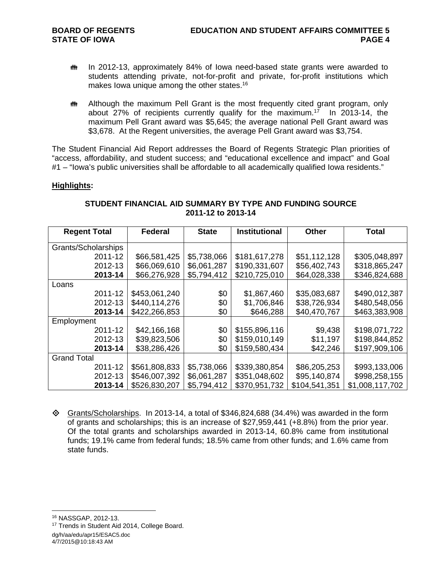- **# In 2012-13, approximately 84% of Iowa need-based state grants were awarded to** students attending private, not-for-profit and private, for-profit institutions which makes Iowa unique among the other states.<sup>16</sup>
- **##** Although the maximum Pell Grant is the most frequently cited grant program, only about 27% of recipients currently qualify for the maximum.17 In 2013-14, the maximum Pell Grant award was \$5,645; the average national Pell Grant award was \$3,678. At the Regent universities, the average Pell Grant award was \$3,754.

The Student Financial Aid Report addresses the Board of Regents Strategic Plan priorities of "access, affordability, and student success; and "educational excellence and impact" and Goal #1 – "Iowa's public universities shall be affordable to all academically qualified Iowa residents."

## **Highlights:**

| <b>Regent Total</b> | <b>Federal</b> | <b>State</b> | <b>Institutional</b> | <b>Other</b>  | <b>Total</b>    |  |
|---------------------|----------------|--------------|----------------------|---------------|-----------------|--|
| Grants/Scholarships |                |              |                      |               |                 |  |
| 2011-12             | \$66,581,425   | \$5,738,066  | \$181,617,278        | \$51,112,128  | \$305,048,897   |  |
| 2012-13             | \$66,069,610   | \$6,061,287  | \$190,331,607        | \$56,402,743  | \$318,865,247   |  |
| 2013-14             | \$66,276,928   | \$5,794,412  | \$210,725,010        | \$64,028,338  | \$346,824,688   |  |
| Loans               |                |              |                      |               |                 |  |
| 2011-12             | \$453,061,240  | \$0          | \$1,867,460          | \$35,083,687  | \$490,012,387   |  |
| 2012-13             | \$440,114,276  | \$0          | \$1,706,846          | \$38,726,934  | \$480,548,056   |  |
| 2013-14             | \$422,266,853  | \$0          | \$646,288            | \$40,470,767  | \$463,383,908   |  |
| Employment          |                |              |                      |               |                 |  |
| 2011-12             | \$42,166,168   | \$0          | \$155,896,116        | \$9,438       | \$198,071,722   |  |
| 2012-13             | \$39,823,506   | \$0          | \$159,010,149        | \$11,197      | \$198,844,852   |  |
| 2013-14             | \$38,286,426   | \$0          | \$159,580,434        | \$42,246      | \$197,909,106   |  |
| <b>Grand Total</b>  |                |              |                      |               |                 |  |
| 2011-12             | \$561,808,833  | \$5,738,066  | \$339,380,854        | \$86,205,253  | \$993,133,006   |  |
| 2012-13             | \$546,007,392  | \$6,061,287  | \$351,048,602        | \$95,140,874  | \$998,258,155   |  |
| 2013-14             | \$526,830,207  | \$5,794,412  | \$370,951,732        | \$104,541,351 | \$1,008,117,702 |  |

# **STUDENT FINANCIAL AID SUMMARY BY TYPE AND FUNDING SOURCE 2011-12 to 2013-14**

 $\Diamond$  Grants/Scholarships. In 2013-14, a total of \$346,824,688 (34.4%) was awarded in the form of grants and scholarships; this is an increase of \$27,959,441 (+8.8%) from the prior year. Of the total grants and scholarships awarded in 2013-14, 60.8% came from institutional funds; 19.1% came from federal funds; 18.5% came from other funds; and 1.6% came from state funds.

16 NASSGAP, 2012-13.

 $\overline{a}$ 

4/7/2015@10:18:43 AM

dg/h/aa/edu/apr15/ESAC5.doc <sup>17</sup> Trends in Student Aid 2014, College Board.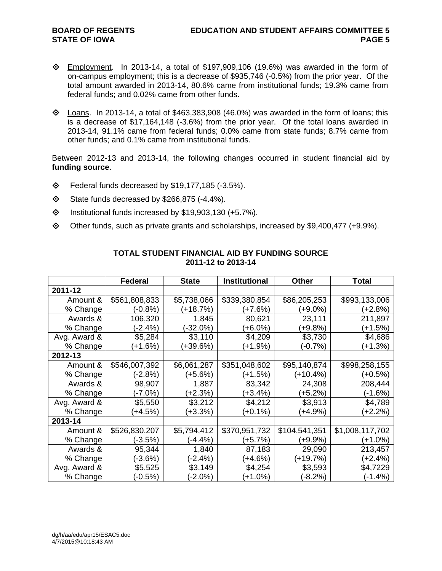- $\Diamond$  Employment. In 2013-14, a total of \$197,909,106 (19.6%) was awarded in the form of on-campus employment; this is a decrease of \$935,746 (-0.5%) from the prior year. Of the total amount awarded in 2013-14, 80.6% came from institutional funds; 19.3% came from federal funds; and 0.02% came from other funds.
- $\diamond$  Loans. In 2013-14, a total of \$463,383,908 (46.0%) was awarded in the form of loans; this is a decrease of \$17,164,148 (-3.6%) from the prior year. Of the total loans awarded in 2013-14, 91.1% came from federal funds; 0.0% came from state funds; 8.7% came from other funds; and 0.1% came from institutional funds.

Between 2012-13 and 2013-14, the following changes occurred in student financial aid by **funding source**.

- $\diamond$  Federal funds decreased by \$19,177,185 (-3.5%).
- $\diamond$  State funds decreased by \$266,875 (-4.4%).
- $\lozenge$  Institutional funds increased by \$19,903,130 (+5.7%).
- Other funds, such as private grants and scholarships, increased by \$9,400,477 (+9.9%).

|              | <b>Federal</b> | <b>State</b> | <b>Institutional</b> | <b>Other</b>  | <b>Total</b>    |
|--------------|----------------|--------------|----------------------|---------------|-----------------|
| 2011-12      |                |              |                      |               |                 |
| Amount &     | \$561,808,833  | \$5,738,066  | \$339,380,854        | \$86,205,253  | \$993,133,006   |
| % Change     | (-0.8%)        | $(+18.7%)$   | (+7.6%)              | (+9.0%)       | $(+2.8%)$       |
| Awards &     | 106,320        | 1,845        | 80,621               | 23,111        | 211,897         |
| % Change     | (-2.4%)        | $-32.0%$     | (+6.0%)              | $(+9.8%)$     | $(+1.5%)$       |
| Avg. Award & | \$5,284        | \$3,110      | \$4,209              | \$3,730       | \$4,686         |
| % Change     | $+1.6%$        | (+39.6%)     | (+1.9%)              | (-0.7%)       | $(+1.3%)$       |
| 2012-13      |                |              |                      |               |                 |
| Amount &     | \$546,007,392  | \$6,061,287  | \$351,048,602        | \$95,140,874  | \$998,258,155   |
| % Change     | (-2.8%)        | (+5.6%)      | (+1.5%)              | $(+10.4%)$    | (+0.5%)         |
| Awards &     | 98,907         | 1,887        | 83,342               | 24,308        | 208,444         |
| % Change     | (-7.0%)        | $(+2.3%)$    | (+3.4%)              | $(+5.2%)$     | $(-1.6%)$       |
| Avg. Award & | \$5,550        | \$3,212      | \$4,212              | \$3,913       | \$4,789         |
| % Change     | $+4.5%$        | $(+3.3%)$    | $(+0.1\%)$           | $(+4.9\%)$    | $(+2.2%)$       |
| 2013-14      |                |              |                      |               |                 |
| Amount &     | \$526,830,207  | \$5,794,412  | \$370,951,732        | \$104,541,351 | \$1,008,117,702 |
| % Change     | $(-3.5%)$      | $(-4.4\%)$   | (+5.7%)              | $(+9.9\%)$    | (+1.0%)         |
| Awards &     | 95,344         | 1,840        | 87,183               | 29,090        | 213,457         |
| % Change     | (-3.6%)        | $(-2.4%)$    | $(+4.6%)$            | (+19.7%)      | (+2.4%)         |
| Avg. Award & | \$5,525        | \$3,149      | \$4,254              | \$3,593       | \$4,7229        |
| % Change     | (-0.5%)        | $(-2.0\%)$   | (+1.0%)              | (-8.2%)       | $(-1.4%)$       |

# **TOTAL STUDENT FINANCIAL AID BY FUNDING SOURCE 2011-12 to 2013-14**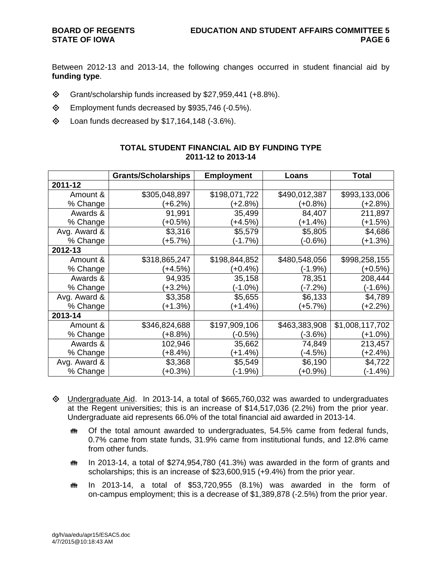Between 2012-13 and 2013-14, the following changes occurred in student financial aid by **funding type**.

- $\diamond$  Grant/scholarship funds increased by \$27,959,441 (+8.8%).
- Employment funds decreased by \$935,746 (-0.5%).
- $\lozenge$  Loan funds decreased by \$17,164,148 (-3.6%).

|              | <b>Grants/Scholarships</b> | <b>Employment</b> | Loans         | Total           |
|--------------|----------------------------|-------------------|---------------|-----------------|
| 2011-12      |                            |                   |               |                 |
| Amount &     | \$305,048,897              | \$198,071,722     | \$490,012,387 | \$993,133,006   |
| % Change     | (+6.2%)                    | (+2.8%)           | (+0.8%)       | (+2.8%)         |
| Awards &     | 91,991                     | 35,499            | 84,407        | 211,897         |
| % Change     | $(+0.5%)$                  | $(+4.5%)$         | (+1.4%)       | (+1.5%)         |
| Avg. Award & | \$3,316                    | \$5,579           | \$5,805       | \$4,686         |
| % Change     | $(+5.7%)$                  | $(-1.7%)$         | (-0.6%)       | (+1.3%)         |
| 2012-13      |                            |                   |               |                 |
| Amount &     | \$318,865,247              | \$198,844,852     | \$480,548,056 | \$998,258,155   |
| % Change     | $(+4.5%)$                  | $(+0.4\%)$        | (-1.9%)       | (+0.5%)         |
| Awards &     | 94,935                     | 35,158            | 78,351        | 208,444         |
| % Change     | $(+3.2%)$                  | (-1.0%)           | (-7.2%)       | $(-1.6%)$       |
| Avg. Award & | \$3,358                    | \$5,655           | \$6,133       | \$4,789         |
| % Change     | $(+1.3%)$                  | (+1.4%)           | $(+5.7%)$     | $(+2.2%)$       |
| 2013-14      |                            |                   |               |                 |
| Amount &     | \$346,824,688              | \$197,909,106     | \$463,383,908 | \$1,008,117,702 |
| % Change     | $(+8.8%)$                  | (-0.5%)           | (-3.6%)       | (+1.0%)         |
| Awards &     | 102,946                    | 35,662            | 74,849        | 213,457         |
| % Change     | (+8.4%)                    | $(+1.4%)$         | (-4.5%)       | (+2.4%)         |
| Avg. Award & | \$3,368                    | \$5,549           | \$6,190       | \$4,722         |
| % Change     | $(+0.3%)$                  | $(-1.9%)$         | $(+0.9\%)$    | $(-1.4%)$       |

# **TOTAL STUDENT FINANCIAL AID BY FUNDING TYPE 2011-12 to 2013-14**

- $\Diamond$  Undergraduate Aid. In 2013-14, a total of \$665,760,032 was awarded to undergraduates at the Regent universities; this is an increase of \$14,517,036 (2.2%) from the prior year. Undergraduate aid represents 66.0% of the total financial aid awarded in 2013-14.
	- Of the total amount awarded to undergraduates, 54.5% came from federal funds, 0.7% came from state funds, 31.9% came from institutional funds, and 12.8% came from other funds.
	- $m$  In 2013-14, a total of \$274,954,780 (41.3%) was awarded in the form of grants and scholarships; this is an increase of \$23,600,915 (+9.4%) from the prior year.
	- $\ddot{\mathbf{m}}$  In 2013-14, a total of \$53,720,955 (8.1%) was awarded in the form of on-campus employment; this is a decrease of \$1,389,878 (-2.5%) from the prior year.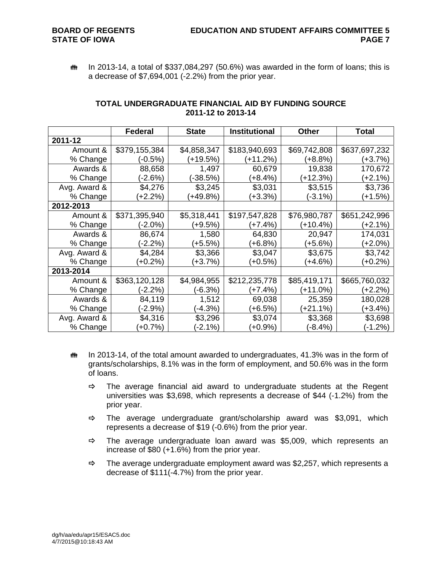$m$  In 2013-14, a total of \$337,084,297 (50.6%) was awarded in the form of loans; this is a decrease of \$7,694,001 (-2.2%) from the prior year.

|              | Federal       | <b>State</b> | <b>Institutional</b> | <b>Other</b> | Total         |
|--------------|---------------|--------------|----------------------|--------------|---------------|
| 2011-12      |               |              |                      |              |               |
| Amount &     | \$379,155,384 | \$4,858,347  | \$183,940,693        | \$69,742,808 | \$637,697,232 |
| % Change     | (-0.5%)       | $+19.5%$     | (+11.2%)             | (+8.8%)      | (+3.7%)       |
| Awards &     | 88,658        | 1,497        | 60,679               | 19,838       | 170,672       |
| % Change     | (-2.6%)       | (-38.5%)     | (+8.4%)              | (+12.3%)     | (+2.1%)       |
| Avg. Award & | \$4,276       | \$3,245      | \$3,031              | \$3,515      | \$3,736       |
| % Change     | $(+2.2%)$     | $(+49.8%)$   | (+3.3%)              | (-3.1%)      | $(+1.5%)$     |
| 2012-2013    |               |              |                      |              |               |
| Amount &     | \$371,395,940 | \$5,318,441  | \$197,547,828        | \$76,980,787 | \$651,242,996 |
| % Change     | $(-2.0\%)$    | $(+9.5%)$    | $(+7.4%)$            | (+10.4%)     | $(+2.1%)$     |
| Awards &     | 86,674        | 1,580        | 64,830               | 20,947       | 174,031       |
| % Change     | $(-2.2%)$     | $(+5.5%)$    | (+6.8%)              | (+5.6%)      | $(+2.0%)$     |
| Avg. Award & | \$4,284       | \$3,366      | \$3,047              | \$3,675      | \$3,742       |
| % Change     | $(+0.2\%)$    | $(+3.7%)$    | $(+0.5%)$            | (+4.6%)      | $(+0.2\%)$    |
| 2013-2014    |               |              |                      |              |               |
| Amount &     | \$363,120,128 | \$4,984,955  | \$212,235,778        | \$85,419,171 | \$665,760,032 |
| % Change     | (-2.2%)       | $(-6.3%)$    | (+7.4%)              | (+11.0%)     | (+2.2%)       |
| Awards &     | 84,119        | 1,512        | 69,038               | 25,359       | 180,028       |
| % Change     | (-2.9%)       | (-4.3%)      | (+6.5%)              | (+21.1%)     | (+3.4%)       |
| Avg. Award & | \$4,316       | \$3,296      | \$3,074              | \$3,368      | \$3,698       |
| % Change     | $(+0.7%)$     | (-2.1%)      | $(+0.9\%)$           | $(-8.4%)$    | $(-1.2%)$     |

# **TOTAL UNDERGRADUATE FINANCIAL AID BY FUNDING SOURCE 2011-12 to 2013-14**

- $m$  In 2013-14, of the total amount awarded to undergraduates, 41.3% was in the form of grants/scholarships, 8.1% was in the form of employment, and 50.6% was in the form of loans.
	- $\Rightarrow$  The average financial aid award to undergraduate students at the Regent universities was \$3,698, which represents a decrease of \$44 (-1.2%) from the prior year.
	- $\Rightarrow$  The average undergraduate grant/scholarship award was \$3,091, which represents a decrease of \$19 (-0.6%) from the prior year.
	- $\Rightarrow$  The average undergraduate loan award was \$5,009, which represents an increase of \$80 (+1.6%) from the prior year.
	- $\Rightarrow$  The average undergraduate employment award was \$2,257, which represents a decrease of \$111(-4.7%) from the prior year.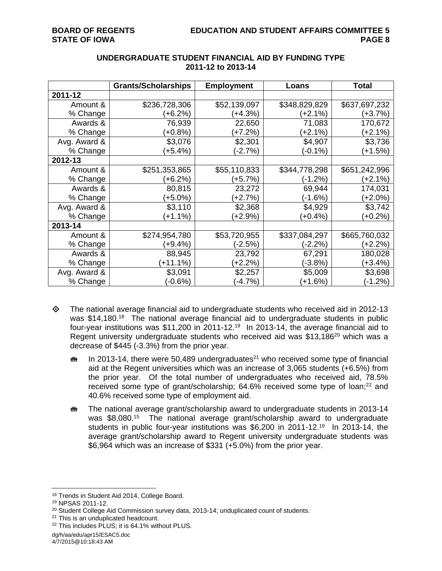|              | <b>Grants/Scholarships</b> | <b>Employment</b> | Loans         | <b>Total</b>  |
|--------------|----------------------------|-------------------|---------------|---------------|
| 2011-12      |                            |                   |               |               |
| Amount &     | \$236,728,306              | \$52,139,097      | \$348,829,829 | \$637,697,232 |
| % Change     | (+6.2%)                    | $(+4.3%)$         | (+2.1%)       | $(+3.7%)$     |
| Awards &     | 76,939                     | 22,650            | 71,083        | 170,672       |
| % Change     | $(+0.8%)$                  | $(+7.2%)$         | (+2.1%)       | $(+2.1%)$     |
| Avg. Award & | \$3,076                    | \$2,301           | \$4,907       | \$3,736       |
| % Change     | $(+5.4%)$                  | $(-2.7%)$         | $(-0.1\%)$    | $(+1.5%)$     |
| 2012-13      |                            |                   |               |               |
| Amount &     | \$251,353,865              | \$55,110,833      | \$344,778,298 | \$651,242,996 |
| % Change     | (+6.2%)                    | (+5.7%)           | $(-1.2%)$     | (+2.1%)       |
| Awards &     | 80,815                     | 23,272            | 69,944        | 174,031       |
| % Change     | (+5.0%)                    | $(+2.7%)$         | (-1.6%)       | (+2.0%)       |
| Avg. Award & | \$3,110                    | \$2,368           | \$4,929       | \$3,742       |
| % Change     | $(+1.1%)$                  | $+2.9%$           | $(+0.4\%)$    | $(+0.2%)$     |
| 2013-14      |                            |                   |               |               |
| Amount &     | \$274,954,780              | \$53,720,955      | \$337,084,297 | \$665,760,032 |
| % Change     | $(+9.4%)$                  | (-2.5%)           | (-2.2%)       | $(+2.2%)$     |
| Awards &     | 88,945                     | 23,792            | 67,291        | 180,028       |
| % Change     | $(+11.1%)$                 | $(+2.2%)$         | (-3.8%)       | (+3.4%)       |
| Avg. Award & | \$3,091                    | \$2,257           | \$5,009       | \$3,698       |
| % Change     | (-0.6%)                    | $(-4.7%)$         | (+1.6%)       | $(-1.2%)$     |

# **UNDERGRADUATE STUDENT FINANCIAL AID BY FUNDING TYPE 2011-12 to 2013-14**

- The national average financial aid to undergraduate students who received aid in 2012-13 was \$14,180.<sup>18</sup> The national average financial aid to undergraduate students in public four-year institutions was \$11,200 in 2011-12.19 In 2013-14, the average financial aid to Regent university undergraduate students who received aid was \$13,186<sup>20</sup> which was a decrease of \$445 (-3.3%) from the prior year.
	- **In** In 2013-14, there were 50,489 undergraduates<sup>21</sup> who received some type of financial aid at the Regent universities which was an increase of 3,065 students (+6.5%) from the prior year. Of the total number of undergraduates who received aid, 78.5% received some type of grant/scholarship; 64.6% received some type of loan;<sup>22</sup> and 40.6% received some type of employment aid.
	- The national average grant/scholarship award to undergraduate students in 2013-14 was \$8,080.15 The national average grant/scholarship award to undergraduate students in public four-year institutions was \$6,200 in 2011-12.<sup>19</sup> In 2013-14, the average grant/scholarship award to Regent university undergraduate students was \$6,964 which was an increase of \$331 (+5.0%) from the prior year.

 $\overline{a}$ 18 Trends in Student Aid 2014, College Board.

<sup>19</sup> NPSAS 2011-12.

 $20$  Student College Aid Commission survey data, 2013-14; unduplicated count of students.<br><sup>21</sup> This is an unduplicated headcount.

<sup>22</sup> This includes PLUS; it is 64.1% without PLUS.

dg/h/aa/edu/apr15/ESAC5.doc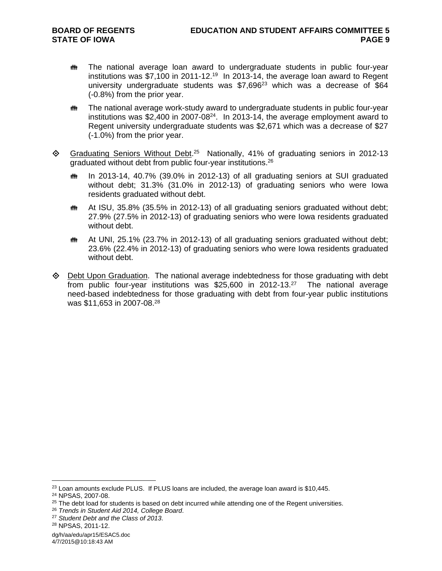- **##** The national average loan award to undergraduate students in public four-year institutions was \$7,100 in 2011-12.19 In 2013-14, the average loan award to Regent university undergraduate students was  $$7.696^{23}$  which was a decrease of  $$64$ (-0.8%) from the prior year.
- The national average work-study award to undergraduate students in public four-year institutions was \$2,400 in 2007-08 $^{24}$ . In 2013-14, the average employment award to Regent university undergraduate students was \$2,671 which was a decrease of \$27 (-1.0%) from the prior year.
- $\Diamond$  Graduating Seniors Without Debt.<sup>25</sup> Nationally, 41% of graduating seniors in 2012-13 graduated without debt from public four-year institutions.26
	- In 2013-14, 40.7% (39.0% in 2012-13) of all graduating seniors at SUI graduated without debt; 31.3% (31.0% in 2012-13) of graduating seniors who were Iowa residents graduated without debt.
	- **##** At ISU, 35.8% (35.5% in 2012-13) of all graduating seniors graduated without debt; 27.9% (27.5% in 2012-13) of graduating seniors who were Iowa residents graduated without debt.
	- **##** At UNI, 25.1% (23.7% in 2012-13) of all graduating seniors graduated without debt; 23.6% (22.4% in 2012-13) of graduating seniors who were Iowa residents graduated without debt.
- $\Diamond$  Debt Upon Graduation. The national average indebtedness for those graduating with debt from public four-year institutions was \$25,600 in 2012-13.27 The national average need-based indebtedness for those graduating with debt from four-year public institutions was \$11,653 in 2007-08.28

 $\overline{a}$ 

dg/h/aa/edu/apr15/ESAC5.doc 4/7/2015@10:18:43 AM

 $^{23}$  Loan amounts exclude PLUS. If PLUS loans are included, the average loan award is \$10,445.  $^{24}$  NPSAS, 2007-08.

<sup>25</sup> The debt load for students is based on debt incurred while attending one of the Regent universities. 26 *Trends in Student Aid 2014, College Board*. 27 *Student Debt and the Class of 2013*. 28 NPSAS, 2011-12.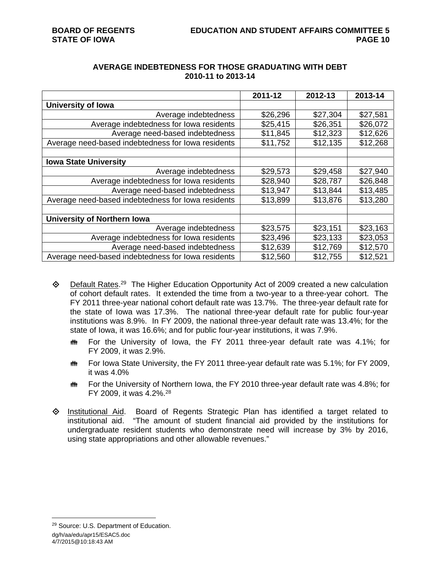|                                                    | 2011-12  | 2012-13  | 2013-14  |
|----------------------------------------------------|----------|----------|----------|
| <b>University of Iowa</b>                          |          |          |          |
| Average indebtedness                               | \$26,296 | \$27,304 | \$27,581 |
| Average indebtedness for lowa residents            | \$25,415 | \$26,351 | \$26,072 |
| Average need-based indebtedness                    | \$11,845 | \$12,323 | \$12,626 |
| Average need-based indebtedness for lowa residents | \$11,752 | \$12,135 | \$12,268 |
|                                                    |          |          |          |
| <b>Iowa State University</b>                       |          |          |          |
| Average indebtedness                               | \$29,573 | \$29,458 | \$27,940 |
| Average indebtedness for lowa residents            | \$28,940 | \$28,787 | \$26,848 |
| Average need-based indebtedness                    | \$13,947 | \$13,844 | \$13,485 |
| Average need-based indebtedness for lowa residents | \$13,899 | \$13,876 | \$13,280 |
|                                                    |          |          |          |
| <b>University of Northern Iowa</b>                 |          |          |          |
| Average indebtedness                               | \$23,575 | \$23,151 | \$23,163 |
| Average indebtedness for lowa residents            | \$23,496 | \$23,133 | \$23,053 |
| Average need-based indebtedness                    | \$12,639 | \$12,769 | \$12,570 |
| Average need-based indebtedness for lowa residents | \$12,560 | \$12,755 | \$12,521 |

# **AVERAGE INDEBTEDNESS FOR THOSE GRADUATING WITH DEBT 2010-11 to 2013-14**

- $\diamond$  Default Rates.<sup>29</sup> The Higher Education Opportunity Act of 2009 created a new calculation of cohort default rates. It extended the time from a two-year to a three-year cohort. The FY 2011 three-year national cohort default rate was 13.7%. The three-year default rate for the state of Iowa was 17.3%. The national three-year default rate for public four-year institutions was 8.9%. In FY 2009, the national three-year default rate was 13.4%; for the state of Iowa, it was 16.6%; and for public four-year institutions, it was 7.9%.
	- the For the University of Iowa, the FY 2011 three-year default rate was 4.1%; for FY 2009, it was 2.9%.
	- **##** For Iowa State University, the FY 2011 three-year default rate was 5.1%; for FY 2009, it was 4.0%
	- **##** For the University of Northern Iowa, the FY 2010 three-year default rate was 4.8%; for FY 2009, it was 4.2%.28
- Institutional Aid. Board of Regents Strategic Plan has identified a target related to institutional aid. "The amount of student financial aid provided by the institutions for undergraduate resident students who demonstrate need will increase by 3% by 2016, using state appropriations and other allowable revenues."

dg/h/aa/edu/apr15/ESAC5.doc 4/7/2015@10:18:43 AM  $\overline{a}$ 29 Source: U.S. Department of Education.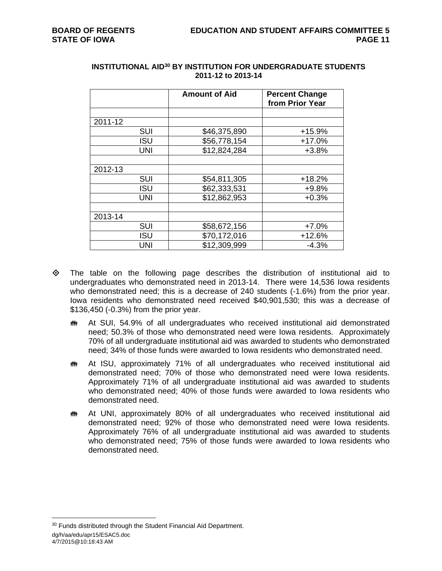|         |            | <b>Amount of Aid</b> | <b>Percent Change</b><br>from Prior Year |
|---------|------------|----------------------|------------------------------------------|
|         |            |                      |                                          |
| 2011-12 |            |                      |                                          |
|         | <b>SUI</b> | \$46,375,890         | $+15.9%$                                 |
|         | <b>ISU</b> | \$56,778,154         | $+17.0%$                                 |
|         | <b>UNI</b> | \$12,824,284         | $+3.8%$                                  |
|         |            |                      |                                          |
| 2012-13 |            |                      |                                          |
|         | <b>SUI</b> | \$54,811,305         | $+18.2%$                                 |
|         | <b>ISU</b> | \$62,333,531         | $+9.8%$                                  |
|         | <b>UNI</b> | \$12,862,953         | $+0.3%$                                  |
|         |            |                      |                                          |
| 2013-14 |            |                      |                                          |
|         | <b>SUI</b> | \$58,672,156         | $+7.0%$                                  |
|         | <b>ISU</b> | \$70,172,016         | $+12.6%$                                 |
|         | UNI        | \$12,309,999         | $-4.3%$                                  |

## **INSTITUTIONAL AID30 BY INSTITUTION FOR UNDERGRADUATE STUDENTS 2011-12 to 2013-14**

- The table on the following page describes the distribution of institutional aid to undergraduates who demonstrated need in 2013-14. There were 14,536 Iowa residents who demonstrated need; this is a decrease of 240 students (-1.6%) from the prior year. Iowa residents who demonstrated need received \$40,901,530; this was a decrease of \$136,450 (-0.3%) from the prior year.
	- At SUI, 54.9% of all undergraduates who received institutional aid demonstrated need; 50.3% of those who demonstrated need were Iowa residents. Approximately 70% of all undergraduate institutional aid was awarded to students who demonstrated need; 34% of those funds were awarded to Iowa residents who demonstrated need.
	- **##** At ISU, approximately 71% of all undergraduates who received institutional aid demonstrated need; 70% of those who demonstrated need were Iowa residents. Approximately 71% of all undergraduate institutional aid was awarded to students who demonstrated need; 40% of those funds were awarded to Iowa residents who demonstrated need.
	- **##** At UNI, approximately 80% of all undergraduates who received institutional aid demonstrated need; 92% of those who demonstrated need were Iowa residents. Approximately 76% of all undergraduate institutional aid was awarded to students who demonstrated need; 75% of those funds were awarded to Iowa residents who demonstrated need.

dg/h/aa/edu/apr15/ESAC5.doc 4/7/2015@10:18:43 AM <sup>30</sup> Funds distributed through the Student Financial Aid Department.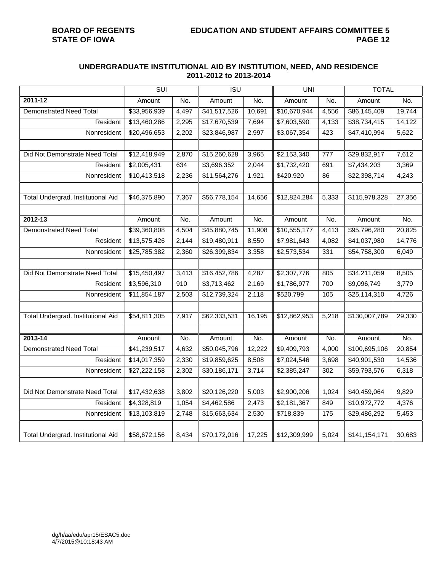## **UNDERGRADUATE INSTITUTIONAL AID BY INSTITUTION, NEED, AND RESIDENCE 2011-2012 to 2013-2014**

|                                    | <b>SUI</b>   |       | ISU          |        | <b>UNI</b>   |                  | <b>TOTAL</b>  |        |
|------------------------------------|--------------|-------|--------------|--------|--------------|------------------|---------------|--------|
| 2011-12                            | Amount       | No.   | Amount       | No.    | Amount       | No.              | Amount        | No.    |
| <b>Demonstrated Need Total</b>     | \$33,956,939 | 4,497 | \$41,517,526 | 10,691 | \$10,670,944 | 4,556            | \$86,145,409  | 19,744 |
| Resident                           | \$13,460,286 | 2,295 | \$17,670,539 | 7,694  | \$7,603,590  | 4,133            | \$38,734,415  | 14,122 |
| Nonresident                        | \$20,496,653 | 2,202 | \$23,846,987 | 2,997  | \$3,067,354  | 423              | \$47,410,994  | 5,622  |
|                                    |              |       |              |        |              |                  |               |        |
| Did Not Demonstrate Need Total     | \$12,418,949 | 2,870 | \$15,260,628 | 3,965  | \$2,153,340  | $\overline{777}$ | \$29,832,917  | 7,612  |
| Resident                           | \$2,005,431  | 634   | \$3,696,352  | 2,044  | \$1,732,420  | 691              | \$7,434,203   | 3,369  |
| Nonresident                        | \$10,413,518 | 2,236 | \$11,564,276 | 1,921  | \$420,920    | 86               | \$22,398,714  | 4,243  |
|                                    |              |       |              |        |              |                  |               |        |
| Total Undergrad. Institutional Aid | \$46,375,890 | 7,367 | \$56,778,154 | 14,656 | \$12,824,284 | 5,333            | \$115,978,328 | 27,356 |
|                                    |              |       |              |        |              |                  |               |        |
| 2012-13                            | Amount       | No.   | Amount       | No.    | Amount       | No.              | Amount        | No.    |
| <b>Demonstrated Need Total</b>     | \$39,360,808 | 4,504 | \$45,880,745 | 11,908 | \$10,555,177 | 4,413            | \$95,796,280  | 20,825 |
| Resident                           | \$13,575,426 | 2,144 | \$19,480,911 | 8,550  | \$7,981,643  | 4,082            | \$41,037,980  | 14,776 |
| Nonresident                        | \$25,785,382 | 2,360 | \$26,399,834 | 3,358  | \$2,573,534  | 331              | \$54,758,300  | 6,049  |
|                                    |              |       |              |        |              |                  |               |        |
| Did Not Demonstrate Need Total     | \$15,450,497 | 3,413 | \$16,452,786 | 4,287  | \$2,307,776  | 805              | \$34,211,059  | 8,505  |
| Resident                           | \$3,596,310  | 910   | \$3,713,462  | 2,169  | \$1,786,977  | 700              | \$9,096,749   | 3,779  |
| Nonresident                        | \$11,854,187 | 2,503 | \$12,739,324 | 2,118  | \$520,799    | 105              | \$25,114,310  | 4,726  |
|                                    |              |       |              |        |              |                  |               |        |
| Total Undergrad. Institutional Aid | \$54,811,305 | 7,917 | \$62,333,531 | 16,195 | \$12,862,953 | 5,218            | \$130,007,789 | 29,330 |
|                                    |              |       |              |        |              |                  |               |        |
| $2013 - 14$                        | Amount       | No.   | Amount       | No.    | Amount       | No.              | Amount        | No.    |
| <b>Demonstrated Need Total</b>     | \$41,239,517 | 4,632 | \$50,045,796 | 12,222 | \$9,409,793  | 4,000            | \$100,695,106 | 20,854 |
| Resident                           | \$14,017,359 | 2,330 | \$19,859,625 | 8,508  | \$7,024,546  | 3,698            | \$40,901,530  | 14,536 |
| Nonresident                        | \$27,222,158 | 2,302 | \$30,186,171 | 3,714  | \$2,385,247  | 302              | \$59,793,576  | 6,318  |
|                                    |              |       |              |        |              |                  |               |        |
| Did Not Demonstrate Need Total     | \$17,432,638 | 3,802 | \$20,126,220 | 5,003  | \$2,900,206  | 1,024            | \$40,459,064  | 9,829  |
| Resident                           | \$4,328,819  | 1,054 | \$4,462,586  | 2,473  | \$2,181,367  | 849              | \$10,972,772  | 4,376  |
| Nonresident                        | \$13,103,819 | 2,748 | \$15,663,634 | 2,530  | \$718,839    | 175              | \$29,486,292  | 5,453  |
|                                    |              |       |              |        |              |                  |               |        |
| Total Undergrad. Institutional Aid | \$58,672,156 | 8,434 | \$70,172,016 | 17,225 | \$12,309,999 | 5,024            | \$141,154,171 | 30,683 |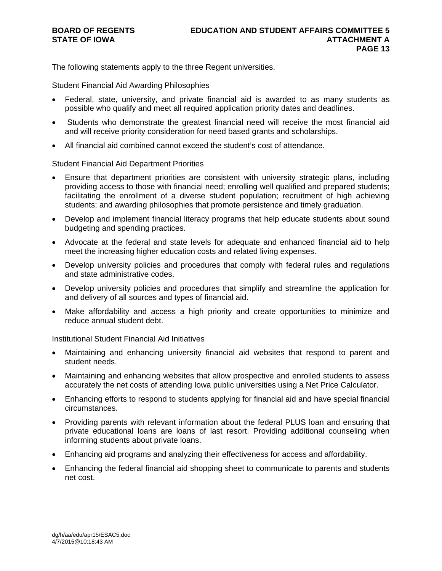The following statements apply to the three Regent universities.

Student Financial Aid Awarding Philosophies

- Federal, state, university, and private financial aid is awarded to as many students as possible who qualify and meet all required application priority dates and deadlines.
- Students who demonstrate the greatest financial need will receive the most financial aid and will receive priority consideration for need based grants and scholarships.
- All financial aid combined cannot exceed the student's cost of attendance.

### Student Financial Aid Department Priorities

- Ensure that department priorities are consistent with university strategic plans, including providing access to those with financial need; enrolling well qualified and prepared students; facilitating the enrollment of a diverse student population; recruitment of high achieving students; and awarding philosophies that promote persistence and timely graduation.
- Develop and implement financial literacy programs that help educate students about sound budgeting and spending practices.
- Advocate at the federal and state levels for adequate and enhanced financial aid to help meet the increasing higher education costs and related living expenses.
- Develop university policies and procedures that comply with federal rules and regulations and state administrative codes.
- Develop university policies and procedures that simplify and streamline the application for and delivery of all sources and types of financial aid.
- Make affordability and access a high priority and create opportunities to minimize and reduce annual student debt.

Institutional Student Financial Aid Initiatives

- Maintaining and enhancing university financial aid websites that respond to parent and student needs.
- Maintaining and enhancing websites that allow prospective and enrolled students to assess accurately the net costs of attending Iowa public universities using a Net Price Calculator.
- Enhancing efforts to respond to students applying for financial aid and have special financial circumstances.
- Providing parents with relevant information about the federal PLUS loan and ensuring that private educational loans are loans of last resort. Providing additional counseling when informing students about private loans.
- Enhancing aid programs and analyzing their effectiveness for access and affordability.
- Enhancing the federal financial aid shopping sheet to communicate to parents and students net cost.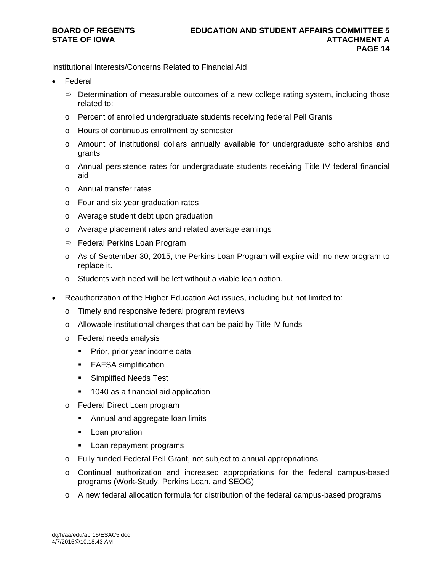Institutional Interests/Concerns Related to Financial Aid

- Federal
	- $\Rightarrow$  Determination of measurable outcomes of a new college rating system, including those related to:
	- o Percent of enrolled undergraduate students receiving federal Pell Grants
	- o Hours of continuous enrollment by semester
	- o Amount of institutional dollars annually available for undergraduate scholarships and grants
	- o Annual persistence rates for undergraduate students receiving Title IV federal financial aid
	- o Annual transfer rates
	- o Four and six year graduation rates
	- o Average student debt upon graduation
	- o Average placement rates and related average earnings
	- $\Rightarrow$  Federal Perkins Loan Program
	- $\circ$  As of September 30, 2015, the Perkins Loan Program will expire with no new program to replace it.
	- o Students with need will be left without a viable loan option.
- Reauthorization of the Higher Education Act issues, including but not limited to:
	- o Timely and responsive federal program reviews
	- o Allowable institutional charges that can be paid by Title IV funds
	- o Federal needs analysis
		- Prior, prior year income data
		- **FAFSA simplification**
		- **Simplified Needs Test**
		- **1040 as a financial aid application**
	- o Federal Direct Loan program
		- **Annual and aggregate loan limits**
		- **-** Loan proration
		- **Loan repayment programs**
	- o Fully funded Federal Pell Grant, not subject to annual appropriations
	- o Continual authorization and increased appropriations for the federal campus-based programs (Work-Study, Perkins Loan, and SEOG)
	- o A new federal allocation formula for distribution of the federal campus-based programs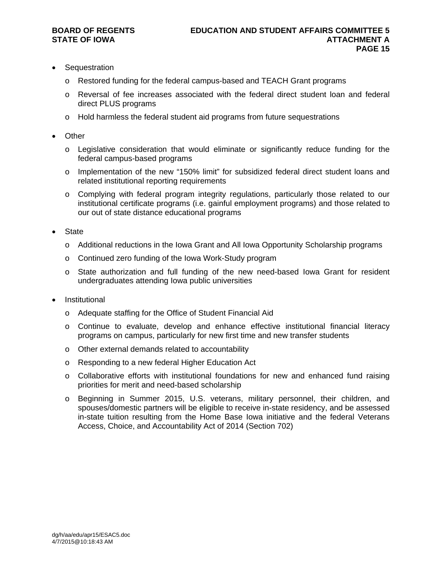- **Sequestration** 
	- o Restored funding for the federal campus-based and TEACH Grant programs
	- o Reversal of fee increases associated with the federal direct student loan and federal direct PLUS programs
	- $\circ$  Hold harmless the federal student aid programs from future sequestrations
- **Other** 
	- o Legislative consideration that would eliminate or significantly reduce funding for the federal campus-based programs
	- o Implementation of the new "150% limit" for subsidized federal direct student loans and related institutional reporting requirements
	- o Complying with federal program integrity regulations, particularly those related to our institutional certificate programs (i.e. gainful employment programs) and those related to our out of state distance educational programs
- **State** 
	- o Additional reductions in the Iowa Grant and All Iowa Opportunity Scholarship programs
	- o Continued zero funding of the Iowa Work-Study program
	- o State authorization and full funding of the new need-based Iowa Grant for resident undergraduates attending Iowa public universities
- Institutional
	- o Adequate staffing for the Office of Student Financial Aid
	- o Continue to evaluate, develop and enhance effective institutional financial literacy programs on campus, particularly for new first time and new transfer students
	- o Other external demands related to accountability
	- o Responding to a new federal Higher Education Act
	- o Collaborative efforts with institutional foundations for new and enhanced fund raising priorities for merit and need-based scholarship
	- o Beginning in Summer 2015, U.S. veterans, military personnel, their children, and spouses/domestic partners will be eligible to receive in-state residency, and be assessed in-state tuition resulting from the Home Base Iowa initiative and the federal Veterans Access, Choice, and Accountability Act of 2014 (Section 702)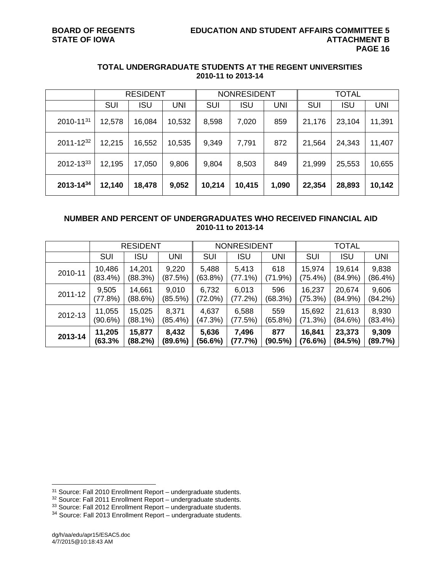|           | <b>RESIDENT</b> |            |        |        | <b>NONRESIDENT</b> |       | <b>TOTAL</b> |            |            |
|-----------|-----------------|------------|--------|--------|--------------------|-------|--------------|------------|------------|
|           | SUI             | <b>ISU</b> | UNI    | SUI    | <b>ISU</b>         | UNI   | <b>SUI</b>   | <b>ISU</b> | <b>UNI</b> |
| 2010-1131 | 12,578          | 16,084     | 10,532 | 8,598  | 7,020              | 859   | 21,176       | 23,104     | 11,391     |
| 2011-1232 | 12,215          | 16,552     | 10,535 | 9,349  | 7,791              | 872   | 21,564       | 24,343     | 11,407     |
| 2012-1333 | 12,195          | 17,050     | 9,806  | 9,804  | 8,503              | 849   | 21,999       | 25,553     | 10,655     |
| 2013-1434 | 12,140          | 18,478     | 9,052  | 10,214 | 10,415             | 1,090 | 22,354       | 28,893     | 10,142     |

## **TOTAL UNDERGRADUATE STUDENTS AT THE REGENT UNIVERSITIES 2010-11 to 2013-14**

# **NUMBER AND PERCENT OF UNDERGRADUATES WHO RECEIVED FINANCIAL AID 2010-11 to 2013-14**

|         |            | <b>RESIDENT</b> |         |            | <b>NONRESIDENT</b><br>TOTAL |            |            |            |            |
|---------|------------|-----------------|---------|------------|-----------------------------|------------|------------|------------|------------|
|         | <b>SUI</b> | <b>ISU</b>      | UNI     | <b>SUI</b> | <b>ISU</b>                  | <b>UNI</b> | <b>SUI</b> | <b>ISU</b> | <b>UNI</b> |
| 2010-11 | 10,486     | 14,201          | 9,220   | 5,488      | 5,413                       | 618        | 15,974     | 19,614     | 9,838      |
|         | (83.4%)    | (88.3%)         | (87.5%) | (63.8%)    | $(77.1\%)$                  | (71.9%)    | (75.4%)    | (84.9%)    | $(86.4\%)$ |
| 2011-12 | 9,505      | 14,661          | 9,010   | 6,732      | 6,013                       | 596        | 16,237     | 20,674     | 9,606      |
|         | (77.8%)    | (88.6%)         | (85.5%) | (72.0%)    | (77.2%)                     | (68.3%)    | (75.3%)    | (84.9%)    | (84.2%)    |
| 2012-13 | 11,055     | 15,025          | 8,371   | 4,637      | 6,588                       | 559        | 15,692     | 21,613     | 8,930      |
|         | (90.6%)    | $(88.1\%)$      | (85.4%) | (47.3%)    | (77.5%)                     | $(65.8\%)$ | (71.3%)    | (84.6%)    | $(83.4\%)$ |
| 2013-14 | 11,205     | 15,877          | 8,432   | 5,636      | 7,496                       | 877        | 16,841     | 23,373     | 9,309      |
|         | (63.3%     | (88.2%)         | (89.6%) | (56.6%)    | (77.7%)                     | (90.5%)    | (76.6%)    | (84.5%)    | (89.7%)    |

<sup>&</sup>lt;sup>31</sup> Source: Fall 2010 Enrollment Report – undergraduate students.

 $32$  Source: Fall 2011 Enrollment Report – undergraduate students.

<sup>&</sup>lt;sup>33</sup> Source: Fall 2012 Enrollment Report – undergraduate students.

<sup>34</sup> Source: Fall 2013 Enrollment Report – undergraduate students.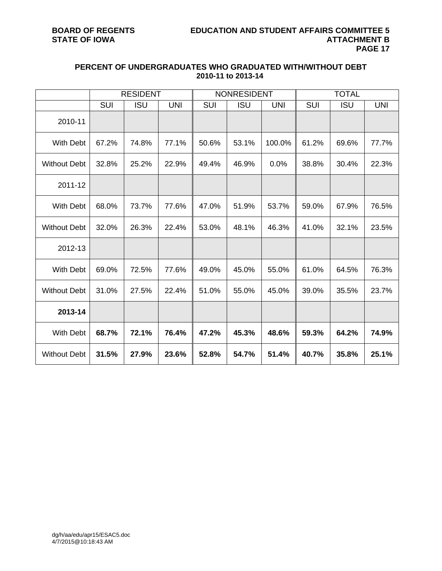|                     |            | <b>RESIDENT</b> |            |       | <b>NONRESIDENT</b> |            |       | <b>TOTAL</b> |            |
|---------------------|------------|-----------------|------------|-------|--------------------|------------|-------|--------------|------------|
|                     | <b>SUI</b> | <b>ISU</b>      | <b>UNI</b> | SUI   | <b>ISU</b>         | <b>UNI</b> | SUI   | <b>ISU</b>   | <b>UNI</b> |
| 2010-11             |            |                 |            |       |                    |            |       |              |            |
| <b>With Debt</b>    | 67.2%      | 74.8%           | 77.1%      | 50.6% | 53.1%              | 100.0%     | 61.2% | 69.6%        | 77.7%      |
| <b>Without Debt</b> | 32.8%      | 25.2%           | 22.9%      | 49.4% | 46.9%              | 0.0%       | 38.8% | 30.4%        | 22.3%      |
| 2011-12             |            |                 |            |       |                    |            |       |              |            |
| <b>With Debt</b>    | 68.0%      | 73.7%           | 77.6%      | 47.0% | 51.9%              | 53.7%      | 59.0% | 67.9%        | 76.5%      |
| <b>Without Debt</b> | 32.0%      | 26.3%           | 22.4%      | 53.0% | 48.1%              | 46.3%      | 41.0% | 32.1%        | 23.5%      |
| 2012-13             |            |                 |            |       |                    |            |       |              |            |
| <b>With Debt</b>    | 69.0%      | 72.5%           | 77.6%      | 49.0% | 45.0%              | 55.0%      | 61.0% | 64.5%        | 76.3%      |
| <b>Without Debt</b> | 31.0%      | 27.5%           | 22.4%      | 51.0% | 55.0%              | 45.0%      | 39.0% | 35.5%        | 23.7%      |
| 2013-14             |            |                 |            |       |                    |            |       |              |            |
| <b>With Debt</b>    | 68.7%      | 72.1%           | 76.4%      | 47.2% | 45.3%              | 48.6%      | 59.3% | 64.2%        | 74.9%      |
| <b>Without Debt</b> | 31.5%      | 27.9%           | 23.6%      | 52.8% | 54.7%              | 51.4%      | 40.7% | 35.8%        | 25.1%      |

## **PERCENT OF UNDERGRADUATES WHO GRADUATED WITH/WITHOUT DEBT 2010-11 to 2013-14**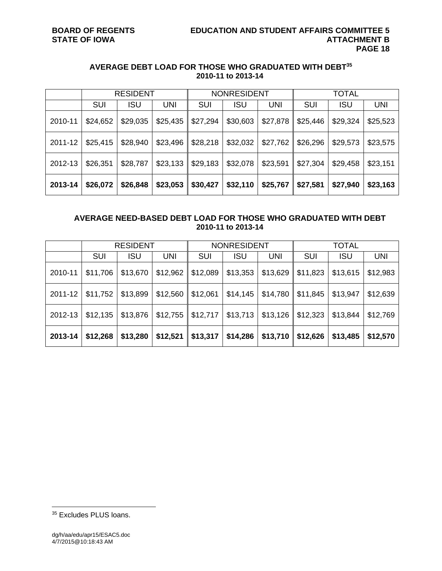# **AVERAGE DEBT LOAD FOR THOSE WHO GRADUATED WITH DEBT35 2010-11 to 2013-14**

|         |          | <b>RESIDENT</b> |          | <b>NONRESIDENT</b> |            |          | TOTAL      |            |            |
|---------|----------|-----------------|----------|--------------------|------------|----------|------------|------------|------------|
|         | SUI      | ISU             | UNI      | <b>SUI</b>         | <b>ISU</b> | UNI      | <b>SUI</b> | <b>ISU</b> | <b>UNI</b> |
| 2010-11 | \$24,652 | \$29,035        | \$25,435 | \$27,294           | \$30,603   | \$27,878 | \$25,446   | \$29,324   | \$25,523   |
| 2011-12 | \$25,415 | \$28,940        | \$23,496 | \$28,218           | \$32,032   | \$27,762 | \$26,296   | \$29,573   | \$23,575   |
| 2012-13 | \$26,351 | \$28,787        | \$23,133 | \$29,183           | \$32,078   | \$23,591 | \$27,304   | \$29,458   | \$23,151   |
| 2013-14 | \$26,072 | \$26,848        | \$23,053 | \$30,427           | \$32,110   | \$25,767 | \$27,581   | \$27,940   | \$23,163   |

# **AVERAGE NEED-BASED DEBT LOAD FOR THOSE WHO GRADUATED WITH DEBT 2010-11 to 2013-14**

|         | <b>RESIDENT</b> |            |          | <b>NONRESIDENT</b> |            |            | <b>TOTAL</b> |            |          |
|---------|-----------------|------------|----------|--------------------|------------|------------|--------------|------------|----------|
|         | SUI             | <b>ISU</b> | UNI      | <b>SUI</b>         | <b>ISU</b> | <b>UNI</b> | <b>SUI</b>   | <b>ISU</b> | UNI      |
| 2010-11 | \$11,706        | \$13,670   | \$12,962 | \$12,089           | \$13,353   | \$13,629   | \$11,823     | \$13,615   | \$12,983 |
| 2011-12 | \$11,752        | \$13,899   | \$12,560 | \$12,061           | \$14,145   | \$14,780   | \$11,845     | \$13,947   | \$12,639 |
| 2012-13 | \$12,135        | \$13,876   | \$12,755 | \$12,717           | \$13,713   | \$13,126   | \$12,323     | \$13,844   | \$12,769 |
| 2013-14 | \$12,268        | \$13,280   | \$12,521 | \$13,317           | \$14,286   | \$13,710   | \$12,626     | \$13,485   | \$12,570 |

<sup>35</sup> Excludes PLUS loans.